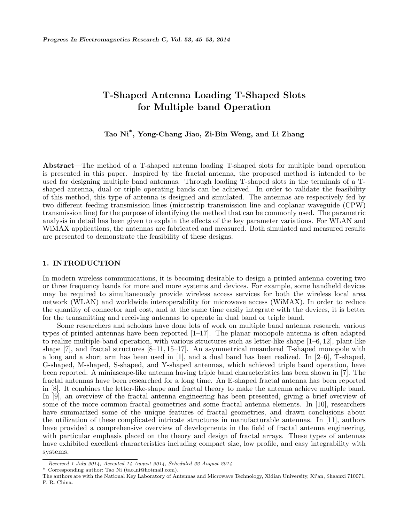# T-Shaped Antenna Loading T-Shaped Slots for Multiple band Operation

Tao Ni\* , Yong-Chang Jiao, Zi-Bin Weng, and Li Zhang

Abstract—The method of a T-shaped antenna loading T-shaped slots for multiple band operation is presented in this paper. Inspired by the fractal antenna, the proposed method is intended to be used for designing multiple band antennas. Through loading T-shaped slots in the terminals of a Tshaped antenna, dual or triple operating bands can be achieved. In order to validate the feasibility of this method, this type of antenna is designed and simulated. The antennas are respectively fed by two different feeding transmission lines (microstrip transmission line and coplanar waveguide (CPW) transmission line) for the purpose of identifying the method that can be commonly used. The parametric analysis in detail has been given to explain the effects of the key parameter variations. For WLAN and WiMAX applications, the antennas are fabricated and measured. Both simulated and measured results are presented to demonstrate the feasibility of these designs.

### 1. INTRODUCTION

In modern wireless communications, it is becoming desirable to design a printed antenna covering two or three frequency bands for more and more systems and devices. For example, some handheld devices may be required to simultaneously provide wireless access services for both the wireless local area network (WLAN) and worldwide interoperability for microwave access (WiMAX). In order to reduce the quantity of connector and cost, and at the same time easily integrate with the devices, it is better for the transmitting and receiving antennas to operate in dual band or triple band.

Some researchers and scholars have done lots of work on multiple band antenna research, various types of printed antennas have been reported [1–17]. The planar monopole antenna is often adapted to realize multiple-band operation, with various structures such as letter-like shape [1–6, 12], plant-like shape [7], and fractal structures [8–11, 15–17]. An asymmetrical meandered T-shaped monopole with a long and a short arm has been used in [1], and a dual band has been realized. In [2–6], T-shaped, G-shaped, M-shaped, S-shaped, and Y-shaped antennas, which achieved triple band operation, have been reported. A miniascape-like antenna having triple band characteristics has been shown in [7]. The fractal antennas have been researched for a long time. An E-shaped fractal antenna has been reported in [8]. It combines the letter-like-shape and fractal theory to make the antenna achieve multiple band. In [9], an overview of the fractal antenna engineering has been presented, giving a brief overview of some of the more common fractal geometries and some fractal antenna elements. In [10], researchers have summarized some of the unique features of fractal geometries, and drawn conclusions about the utilization of these complicated intricate structures in manufacturable antennas. In [11], authors have provided a comprehensive overview of developments in the field of fractal antenna engineering, with particular emphasis placed on the theory and design of fractal arrays. These types of antennas have exhibited excellent characteristics including compact size, low profile, and easy integrability with systems.

Received 1 July 2014, Accepted 14 August 2014, Scheduled 22 August 2014

Corresponding author: Tao Ni (tao ni@hotmail.com).

The authors are with the National Key Laboratory of Antennas and Microwave Technology, Xidian University, Xi'an, Shaanxi 710071, P. R. China.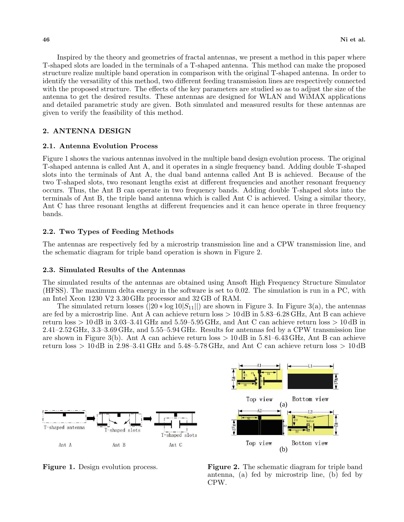Inspired by the theory and geometries of fractal antennas, we present a method in this paper where T-shaped slots are loaded in the terminals of a T-shaped antenna. This method can make the proposed structure realize multiple band operation in comparison with the original T-shaped antenna. In order to identify the versatility of this method, two different feeding transmission lines are respectively connected with the proposed structure. The effects of the key parameters are studied so as to adjust the size of the antenna to get the desired results. These antennas are designed for WLAN and WiMAX applications and detailed parametric study are given. Both simulated and measured results for these antennas are given to verify the feasibility of this method.

## 2. ANTENNA DESIGN

#### 2.1. Antenna Evolution Process

Figure 1 shows the various antennas involved in the multiple band design evolution process. The original T-shaped antenna is called Ant A, and it operates in a single frequency band. Adding double T-shaped slots into the terminals of Ant A, the dual band antenna called Ant B is achieved. Because of the two T-shaped slots, two resonant lengths exist at different frequencies and another resonant frequency occurs. Thus, the Ant B can operate in two frequency bands. Adding double T-shaped slots into the terminals of Ant B, the triple band antenna which is called Ant C is achieved. Using a similar theory, Ant C has three resonant lengths at different frequencies and it can hence operate in three frequency bands.

#### 2.2. Two Types of Feeding Methods

The antennas are respectively fed by a microstrip transmission line and a CPW transmission line, and the schematic diagram for triple band operation is shown in Figure 2.

#### 2.3. Simulated Results of the Antennas

The simulated results of the antennas are obtained using Ansoft High Frequency Structure Simulator (HFSS). The maximum delta energy in the software is set to 0.02. The simulation is run in a PC, with an Intel Xeon 1230 V2 3.30 GHz processor and 32 GB of RAM.

The simulated return losses  $(|20 * \log 10|S_{11}||)$  are shown in Figure 3. In Figure 3(a), the antennas are fed by a microstrip line. Ant A can achieve return loss > 10 dB in 5.83–6.28 GHz, Ant B can achieve return loss  $> 10 \text{ dB}$  in 3.03–3.41 GHz and 5.59–5.95 GHz, and Ant C can achieve return loss  $> 10 \text{ dB}$  in 2.41–2.52 GHz, 3.3–3.69 GHz, and 5.55–5.94 GHz. Results for antennas fed by a CPW transmission line are shown in Figure 3(b). Ant A can achieve return loss  $> 10 \text{ dB}$  in 5.81–6.43 GHz, Ant B can achieve return loss  $> 10$  dB in 2.98–3.41 GHz and 5.48–5.78 GHz, and Ant C can achieve return loss  $> 10$  dB





Figure 2. The schematic diagram for triple band antenna, (a) fed by microstrip line, (b) fed by CPW.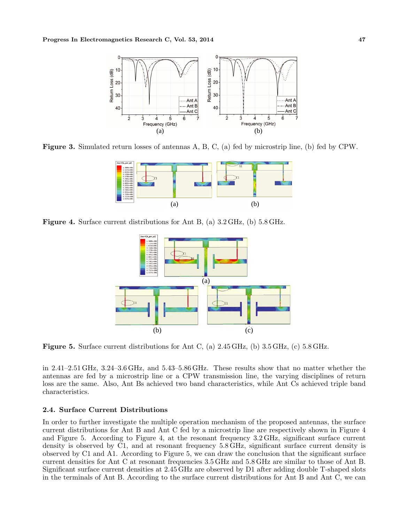

Figure 3. Simulated return losses of antennas A, B, C, (a) fed by microstrip line, (b) fed by CPW.



Figure 4. Surface current distributions for Ant B, (a) 3.2 GHz, (b) 5.8 GHz.



**Figure 5.** Surface current distributions for Ant C, (a)  $2.45 \text{ GHz}$ , (b)  $3.5 \text{ GHz}$ , (c)  $5.8 \text{ GHz}$ .

in 2.41–2.51 GHz, 3.24–3.6 GHz, and 5.43–5.86 GHz. These results show that no matter whether the antennas are fed by a microstrip line or a CPW transmission line, the varying disciplines of return loss are the same. Also, Ant Bs achieved two band characteristics, while Ant Cs achieved triple band characteristics.

#### 2.4. Surface Current Distributions

In order to further investigate the multiple operation mechanism of the proposed antennas, the surface current distributions for Ant B and Ant C fed by a microstrip line are respectively shown in Figure 4 and Figure 5. According to Figure 4, at the resonant frequency 3.2 GHz, significant surface current density is observed by C1, and at resonant frequency 5.8 GHz, significant surface current density is observed by C1 and A1. According to Figure 5, we can draw the conclusion that the significant surface current densities for Ant C at resonant frequencies 3.5 GHz and 5.8 GHz are similar to those of Ant B. Significant surface current densities at 2.45 GHz are observed by D1 after adding double T-shaped slots in the terminals of Ant B. According to the surface current distributions for Ant B and Ant C, we can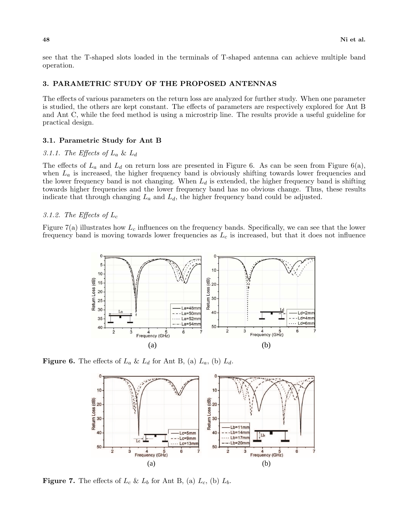see that the T-shaped slots loaded in the terminals of T-shaped antenna can achieve multiple band operation.

## 3. PARAMETRIC STUDY OF THE PROPOSED ANTENNAS

The effects of various parameters on the return loss are analyzed for further study. When one parameter is studied, the others are kept constant. The effects of parameters are respectively explored for Ant B and Ant C, while the feed method is using a microstrip line. The results provide a useful guideline for practical design.

#### 3.1. Parametric Study for Ant B

## 3.1.1. The Effects of  $L_a \& L_d$

The effects of  $L_a$  and  $L_d$  on return loss are presented in Figure 6. As can be seen from Figure 6(a), when  $L_a$  is increased, the higher frequency band is obviously shifting towards lower frequencies and the lower frequency band is not changing. When  $L_d$  is extended, the higher frequency band is shifting towards higher frequencies and the lower frequency band has no obvious change. Thus, these results indicate that through changing  $L_a$  and  $L_d$ , the higher frequency band could be adjusted.

#### 3.1.2. The Effects of  $L_c$

Figure 7(a) illustrates how  $L_c$  influences on the frequency bands. Specifically, we can see that the lower frequency band is moving towards lower frequencies as  $L<sub>c</sub>$  is increased, but that it does not influence



**Figure 6.** The effects of  $L_a \& L_d$  for Ant B, (a)  $L_a$ , (b)  $L_d$ .



**Figure 7.** The effects of  $L_c$  &  $L_b$  for Ant B, (a)  $L_c$ , (b)  $L_b$ .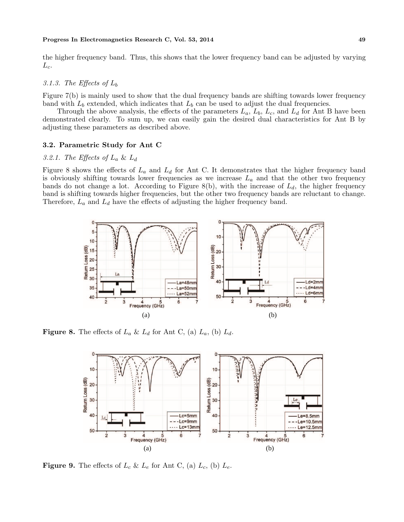the higher frequency band. Thus, this shows that the lower frequency band can be adjusted by varying  $L_c$ .

#### 3.1.3. The Effects of  $L_b$

Figure 7(b) is mainly used to show that the dual frequency bands are shifting towards lower frequency band with  $L_b$  extended, which indicates that  $L_b$  can be used to adjust the dual frequencies.

Through the above analysis, the effects of the parameters  $L_a$ ,  $L_b$ ,  $L_c$ , and  $L_d$  for Ant B have been demonstrated clearly. To sum up, we can easily gain the desired dual characteristics for Ant B by adjusting these parameters as described above.

#### 3.2. Parametric Study for Ant C

#### 3.2.1. The Effects of  $L_a \& L_d$

Figure 8 shows the effects of  $L_a$  and  $L_d$  for Ant C. It demonstrates that the higher frequency band is obviously shifting towards lower frequencies as we increase  $L_a$  and that the other two frequency bands do not change a lot. According to Figure 8(b), with the increase of  $L_d$ , the higher frequency band is shifting towards higher frequencies, but the other two frequency bands are reluctant to change. Therefore,  $L_a$  and  $L_d$  have the effects of adjusting the higher frequency band.



**Figure 8.** The effects of  $L_a \& L_d$  for Ant C, (a)  $L_a$ , (b)  $L_d$ .



**Figure 9.** The effects of  $L_c$  &  $L_e$  for Ant C, (a)  $L_c$ , (b)  $L_e$ .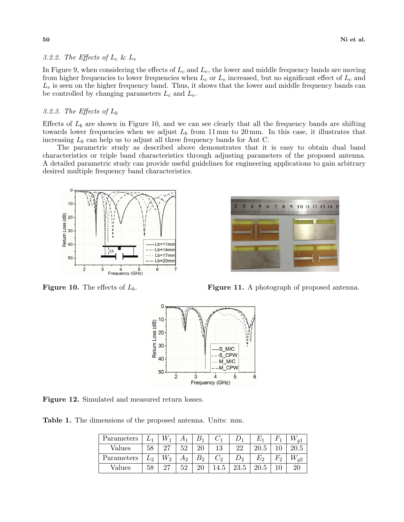#### 3.2.2. The Effects of  $L_c$  &  $L_e$

In Figure 9, when considering the effects of  $L_c$  and  $L_e$ , the lower and middle frequency bands are moving from higher frequencies to lower frequencies when  $L_c$  or  $L_e$  increased, but no significant effect of  $L_c$  and  $L_e$  is seen on the higher frequency band. Thus, it shows that the lower and middle frequency bands can be controlled by changing parameters  $L_c$  and  $L_e$ .

# 3.2.3. The Effects of  $L_b$

Effects of  $L_b$  are shown in Figure 10, and we can see clearly that all the frequency bands are shifting towards lower frequencies when we adjust  $L_b$  from 11 mm to 20 mm. In this case, it illustrates that increasing  $L_b$  can help us to adjust all three frequency bands for Ant C.

The parametric study as described above demonstrates that it is easy to obtain dual band characteristics or triple band characteristics through adjusting parameters of the proposed antenna. A detailed parametric study can provide useful guidelines for engineering applications to gain arbitrary desired multiple frequency band characteristics.





**Figure 10.** The effects of  $L_b$ . **Figure 11.** A photograph of proposed antenna.



Figure 12. Simulated and measured return losses.

Table 1. The dimensions of the proposed antenna. Units: mm.

| Parameters |       |       |       |         |          |       |      |       |          |
|------------|-------|-------|-------|---------|----------|-------|------|-------|----------|
| Values     | 58    | 27    | 52    |         | 12<br>⊥∪ |       | 20.5 |       | 20.5     |
| Parameters | $L_2$ | $W_2$ | $A_2$ | $B_{2}$ | $C_2$    | $D_2$ | E2   | $F_2$ | $W_{q2}$ |
| Values     | 58    | 27    | 52    |         | 14.5     | 23.5  |      |       |          |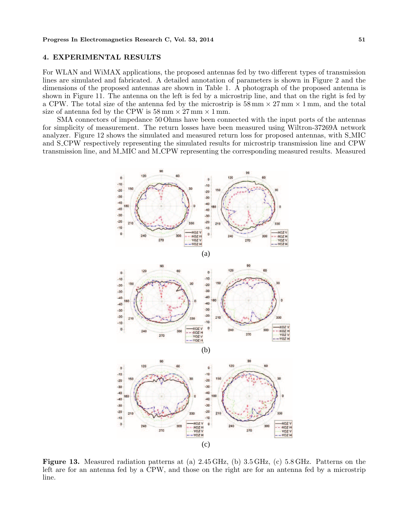#### 4. EXPERIMENTAL RESULTS

For WLAN and WiMAX applications, the proposed antennas fed by two different types of transmission lines are simulated and fabricated. A detailed annotation of parameters is shown in Figure 2 and the dimensions of the proposed antennas are shown in Table 1. A photograph of the proposed antenna is shown in Figure 11. The antenna on the left is fed by a microstrip line, and that on the right is fed by a CPW. The total size of the antenna fed by the microstrip is  $58 \text{ mm} \times 27 \text{ mm} \times 1 \text{ mm}$ , and the total size of antenna fed by the CPW is  $58 \text{ mm} \times 27 \text{ mm} \times 1 \text{ mm}$ .

SMA connectors of impedance 50 Ohms have been connected with the input ports of the antennas for simplicity of measurement. The return losses have been measured using Wiltron-37269A network analyzer. Figure 12 shows the simulated and measured return loss for proposed antennas, with S MIC and S CPW respectively representing the simulated results for microstrip transmission line and CPW transmission line, and M MIC and M CPW representing the corresponding measured results. Measured



Figure 13. Measured radiation patterns at (a) 2.45 GHz, (b) 3.5 GHz, (c) 5.8 GHz. Patterns on the left are for an antenna fed by a CPW, and those on the right are for an antenna fed by a microstrip line.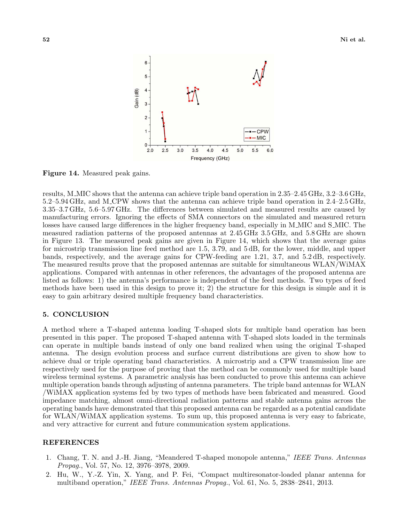

Figure 14. Measured peak gains.

results, M MIC shows that the antenna can achieve triple band operation in 2.35–2.45 GHz, 3.2–3.6 GHz, 5.2–5.94 GHz, and M CPW shows that the antenna can achieve triple band operation in 2.4–2.5 GHz, 3.35–3.7 GHz, 5.6–5.97 GHz. The differences between simulated and measured results are caused by manufacturing errors. Ignoring the effects of SMA connectors on the simulated and measured return losses have caused large differences in the higher frequency band, especially in M\_MIC and S\_MIC. The measured radiation patterns of the proposed antennas at 2.45 GHz 3.5 GHz, and 5.8 GHz are shown in Figure 13. The measured peak gains are given in Figure 14, which shows that the average gains for microstrip transmission line feed method are 1.5, 3.79, and 5 dB, for the lower, middle, and upper bands, respectively, and the average gains for CPW-feeding are 1.21, 3.7, and 5.2 dB, respectively. The measured results prove that the proposed antennas are suitable for simultaneous WLAN/WiMAX applications. Compared with antennas in other references, the advantages of the proposed antenna are listed as follows: 1) the antenna's performance is independent of the feed methods. Two types of feed methods have been used in this design to prove it; 2) the structure for this design is simple and it is easy to gain arbitrary desired multiple frequency band characteristics.

#### 5. CONCLUSION

A method where a T-shaped antenna loading T-shaped slots for multiple band operation has been presented in this paper. The proposed T-shaped antenna with T-shaped slots loaded in the terminals can operate in multiple bands instead of only one band realized when using the original T-shaped antenna. The design evolution process and surface current distributions are given to show how to achieve dual or triple operating band characteristics. A microstrip and a CPW transmission line are respectively used for the purpose of proving that the method can be commonly used for multiple band wireless terminal systems. A parametric analysis has been conducted to prove this antenna can achieve multiple operation bands through adjusting of antenna parameters. The triple band antennas for WLAN /WiMAX application systems fed by two types of methods have been fabricated and measured. Good impedance matching, almost omni-directional radiation patterns and stable antenna gains across the operating bands have demonstrated that this proposed antenna can be regarded as a potential candidate for WLAN/WiMAX application systems. To sum up, this proposed antenna is very easy to fabricate, and very attractive for current and future communication system applications.

#### REFERENCES

- 1. Chang, T. N. and J.-H. Jiang, "Meandered T-shaped monopole antenna," IEEE Trans. Antennas Propag., Vol. 57, No. 12, 3976–3978, 2009.
- 2. Hu, W., Y.-Z. Yin, X. Yang, and P. Fei, "Compact multiresonator-loaded planar antenna for multiband operation," IEEE Trans. Antennas Propag., Vol. 61, No. 5, 2838–2841, 2013.